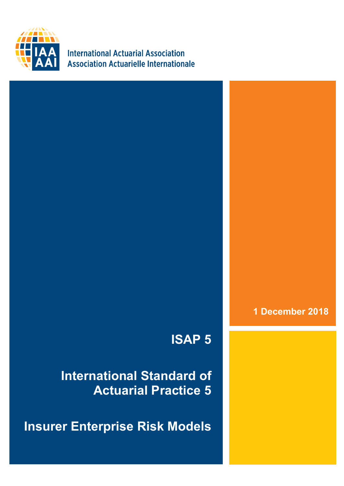

**International Actuarial Association Association Actuarielle Internationale** 

**1 December 2018**

## **ISAP 5**

**International Standard of Actuarial Practice 5**

**Insurer Enterprise Risk Models**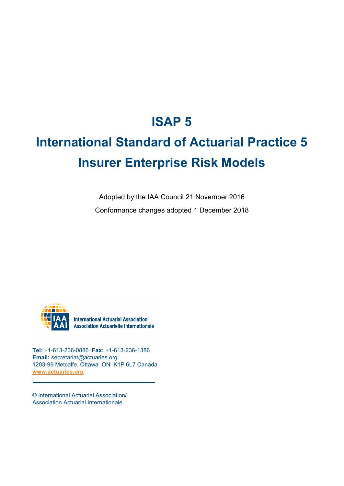### **ISAP 5**

# **International Standard of Actuarial Practice 5 Insurer Enterprise Risk Models**

Adopted by the IAA Council 21 November 2016 Conformance changes adopted 1 December 2018



**International Actuarial Association Association Actuarielle Internationale** 

**Tel:** +1-613-236-0886 **Fax:** +1-613-236-1386 **Email:** secretariat@actuaries.org 1203-99 Metcalfe, Ottawa ON K1P 6L7 Canada **[www.actuaries.org](http://www.actuaries.org/)**

© International Actuarial Association/ Association Actuarial Internationale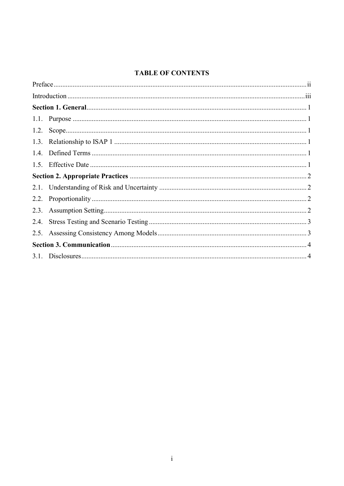#### **TABLE OF CONTENTS**

| 2.4. |  |
|------|--|
|      |  |
|      |  |
|      |  |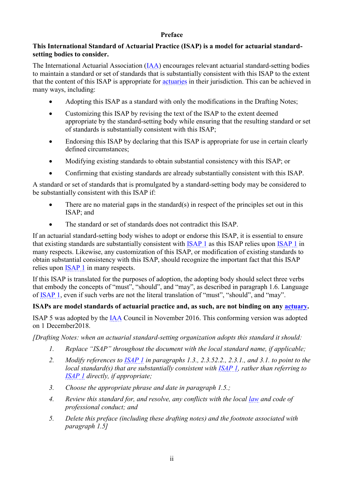#### **Preface**

#### <span id="page-3-0"></span>**This International Standard of Actuarial Practice (ISAP) is a model for actuarial standardsetting bodies to consider.**

The International Actuarial Association [\(IAA\)](https://www.actuaries.org/IAA/Documents/CTTEES_ASC/ISAPs_Glossary_Terms/IAA.html) encourages relevant actuarial standard-setting bodies to maintain a standard or set of standards that is substantially consistent with this ISAP to the extent that the content of this ISAP is appropriate for [actuaries](https://www.actuaries.org/IAA/Documents/CTTEES_ASC/ISAPs_Glossary_Terms/Actuary.html) in their jurisdiction. This can be achieved in many ways, including:

- Adopting this ISAP as a standard with only the modifications in the Drafting Notes;
- Customizing this ISAP by revising the text of the ISAP to the extent deemed appropriate by the standard-setting body while ensuring that the resulting standard or set of standards is substantially consistent with this ISAP;
- Endorsing this ISAP by declaring that this ISAP is appropriate for use in certain clearly defined circumstances;
- Modifying existing standards to obtain substantial consistency with this ISAP; or
- Confirming that existing standards are already substantially consistent with this ISAP.

A standard or set of standards that is promulgated by a standard-setting body may be considered to be substantially consistent with this ISAP if:

- There are no material gaps in the standard $(s)$  in respect of the principles set out in this ISAP; and
- The standard or set of standards does not contradict this ISAP.

If an actuarial standard-setting body wishes to adopt or endorse this ISAP, it is essential to ensure that existing standards are substantially consistent with [ISAP 1](https://www.actuaries.org/IAA/Documents/CTTEES_ASC/Final_ISAPs_Posted/ISAP1_Review_adopted_1Dec2018.pdf) as this ISAP relies upon [ISAP 1](https://www.actuaries.org/IAA/Documents/CTTEES_ASC/Final_ISAPs_Posted/ISAP1_Review_adopted_1Dec2018.pdf) in many respects. Likewise, any customization of this ISAP, or modification of existing standards to obtain substantial consistency with this ISAP, should recognize the important fact that this ISAP relies upon [ISAP 1](https://www.actuaries.org/IAA/Documents/CTTEES_ASC/Final_ISAPs_Posted/ISAP1_Review_adopted_1Dec2018.pdf) in many respects.

If this ISAP is translated for the purposes of adoption, the adopting body should select three verbs that embody the concepts of "must", "should", and "may", as described in paragraph 1.6. Language of [ISAP 1](https://www.actuaries.org/IAA/Documents/CTTEES_ASC/Final_ISAPs_Posted/ISAP1_Review_adopted_1Dec2018.pdf), even if such verbs are not the literal translation of "must", "should", and "may".

#### **ISAPs are model standards of actuarial practice and, as such, are not binding on any [actuary.](https://www.actuaries.org/IAA/Documents/CTTEES_ASC/ISAPs_Glossary_Terms/Actuary.html)**

ISAP 5 was adopted by the [IAA](https://www.actuaries.org/IAA/Documents/CTTEES_ASC/ISAPs_Glossary_Terms/IAA.html) Council in November 2016. This conforming version was adopted on 1 December2018.

*[Drafting Notes: when an actuarial standard-setting organization adopts this standard it should:*

- *1. Replace "ISAP" throughout the document with the local standard name, if applicable;*
- *2. Modify references to [ISAP 1](https://www.actuaries.org/IAA/Documents/CTTEES_ASC/Final_ISAPs_Posted/ISAP1_Review_adopted_1Dec2018.pdf) in paragraphs [1.3.](#page-5-3), [2.3.52.2.](#page-6-2), [2.3.1.](#page-6-4), and [3.1.](#page-8-1) to point to the local standard(s) that are substantially consistent with [ISAP 1,](https://www.actuaries.org/IAA/Documents/CTTEES_ASC/Final_ISAPs_Posted/ISAP1_Review_adopted_1Dec2018.pdf) rather than referring to [ISAP 1](https://www.actuaries.org/IAA/Documents/CTTEES_ASC/Final_ISAPs_Posted/ISAP1_Review_adopted_1Dec2018.pdf) directly, if appropriate;*
- *3. Choose the appropriate phrase and date in paragraph [1.5.](#page-5-5);*
- *4. Review this standard for, and resolve, any conflicts with the local [law](https://www.actuaries.org/IAA/Documents/CTTEES_ASC/ISAPs_Glossary_Terms/Law.html) and code of professional conduct; and*
- *5. Delete this preface (including these drafting notes) and the footnote associated with paragraph [1.5\]](#page-5-5)*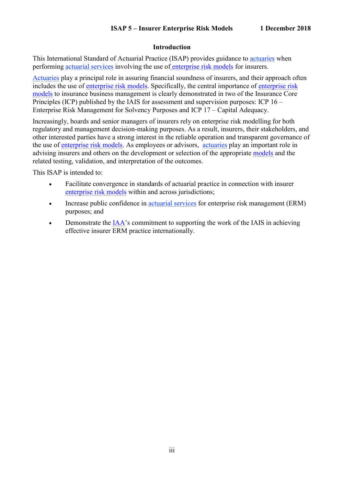#### **Introduction**

<span id="page-4-0"></span>This International Standard of Actuarial Practice (ISAP) provides guidance to [actuaries](https://www.actuaries.org/IAA/Documents/CTTEES_ASC/ISAPs_Glossary_Terms/Actuary.html) when performing [actuarial services](https://www.actuaries.org/IAA/Documents/CTTEES_ASC/ISAPs_Glossary_Terms/Actuarial_Services.html) involving the use of [enterprise risk models](https://www.actuaries.org/IAA/Documents/CTTEES_ASC/ISAPs_Glossary_Terms/Enterprise_Risk_Model.html) for insurers.

[Actuaries](https://www.actuaries.org/IAA/Documents/CTTEES_ASC/ISAPs_Glossary_Terms/Actuary.html) play a principal role in assuring financial soundness of insurers, and their approach often includes the use of [enterprise risk models.](https://www.actuaries.org/IAA/Documents/CTTEES_ASC/ISAPs_Glossary_Terms/Enterprise_Risk_Model.html) Specifically, the central importance of [enterprise risk](https://www.actuaries.org/IAA/Documents/CTTEES_ASC/ISAPs_Glossary_Terms/Enterprise_Risk_Model.html)  [models](https://www.actuaries.org/IAA/Documents/CTTEES_ASC/ISAPs_Glossary_Terms/Enterprise_Risk_Model.html) to insurance business management is clearly demonstrated in two of the Insurance Core Principles (ICP) published by the IAIS for assessment and supervision purposes: ICP 16 – Enterprise Risk Management for Solvency Purposes and ICP 17 – Capital Adequacy.

Increasingly, boards and senior managers of insurers rely on enterprise risk modelling for both regulatory and management decision-making purposes. As a result, insurers, their stakeholders, and other interested parties have a strong interest in the reliable operation and transparent governance of the use of [enterprise risk models.](https://www.actuaries.org/IAA/Documents/CTTEES_ASC/ISAPs_Glossary_Terms/Enterprise_Risk_Model.html) As employees or advisors, [actuaries](http://www.actuaries.org/CTTEES_ASC/isapglossary/actuary.htm) play an important role in advising insurers and others on the development or selection of the appropriate [models](https://www.actuaries.org/IAA/Documents/CTTEES_ASC/ISAPs_Glossary_Terms/Model.html) and the related testing, validation, and interpretation of the outcomes.

This ISAP is intended to:

- Facilitate convergence in standards of actuarial practice in connection with insurer [enterprise risk models](https://www.actuaries.org/IAA/Documents/CTTEES_ASC/ISAPs_Glossary_Terms/Enterprise_Risk_Model.html) within and across jurisdictions;
- Increase public confidence in [actuarial services](https://www.actuaries.org/IAA/Documents/CTTEES_ASC/ISAPs_Glossary_Terms/Actuarial_Services.html) for enterprise risk management (ERM) purposes; and
- Demonstrate the [IAA](https://www.actuaries.org/IAA/Documents/CTTEES_ASC/ISAPs_Glossary_Terms/IAA.html)'s commitment to supporting the work of the IAIS in achieving effective insurer ERM practice internationally.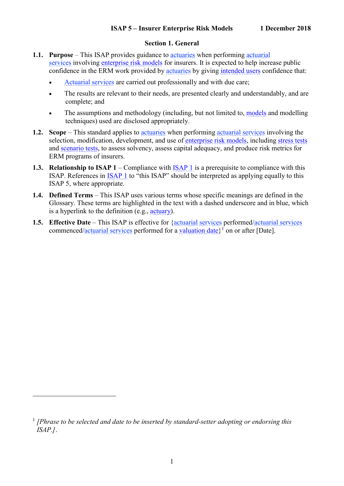#### **Section 1. General**

- <span id="page-5-1"></span><span id="page-5-0"></span>**1.1. Purpose** – This ISAP provides guidance to [actuaries](https://www.actuaries.org/IAA/Documents/CTTEES_ASC/ISAPs_Glossary_Terms/Actuary.html) when performing [actuarial](https://www.actuaries.org/IAA/Documents/CTTEES_ASC/ISAPs_Glossary_Terms/Actuarial_Services.html)  [services](https://www.actuaries.org/IAA/Documents/CTTEES_ASC/ISAPs_Glossary_Terms/Actuarial_Services.html) involving [enterprise risk models](https://www.actuaries.org/IAA/Documents/CTTEES_ASC/ISAPs_Glossary_Terms/Enterprise_Risk_Model.html) for insurers. It is expected to help increase public confidence in the ERM work provided by [actuaries](https://www.actuaries.org/IAA/Documents/CTTEES_ASC/ISAPs_Glossary_Terms/Actuary.html) by giving [intended users](https://www.actuaries.org/IAA/Documents/CTTEES_ASC/ISAPs_Glossary_Terms/intended_user.htm) confidence that:
	- [Actuarial services](https://www.actuaries.org/IAA/Documents/CTTEES_ASC/ISAPs_Glossary_Terms/Actuarial_Services.html) are carried out professionally and with due care;
	- The results are relevant to their needs, are presented clearly and understandably, and are complete; and
	- The assumptions and methodology (including, but not limited to, [models](https://www.actuaries.org/IAA/Documents/CTTEES_ASC/ISAPs_Glossary_Terms/Model.html) and modelling techniques) used are disclosed appropriately.
- <span id="page-5-2"></span>**1.2. Scope** – This standard applies to [actuaries](https://www.actuaries.org/IAA/Documents/CTTEES_ASC/ISAPs_Glossary_Terms/Actuary.html) when performing [actuarial services](https://www.actuaries.org/IAA/Documents/CTTEES_ASC/ISAPs_Glossary_Terms/Actuarial_Services.html) involving the selection, modification, development, and use of [enterprise risk models,](https://www.actuaries.org/IAA/Documents/CTTEES_ASC/ISAPs_Glossary_Terms/Enterprise_Risk_Model.html) including [stress tests](https://www.actuaries.org/IAA/Documents/CTTEES_ASC/ISAPs_Glossary_Terms/Stress_Test.html) and [scenario tests,](https://www.actuaries.org/IAA/Documents/CTTEES_ASC/ISAPs_Glossary_Terms/Scenario_Test.html) to assess solvency, assess capital adequacy, and produce risk metrics for ERM programs of insurers.
- <span id="page-5-3"></span>**1.3. Relationship to ISAP 1** – Compliance with [ISAP 1](https://www.actuaries.org/IAA/Documents/CTTEES_ASC/Final_ISAPs_Posted/ISAP1_Review_adopted_1Dec2018.pdf) is a prerequisite to compliance with this ISAP. References in [ISAP 1](https://www.actuaries.org/IAA/Documents/CTTEES_ASC/Final_ISAPs_Posted/ISAP1_Review_adopted_1Dec2018.pdf) to "this ISAP" should be interpreted as applying equally to this ISAP 5, where appropriate.
- <span id="page-5-4"></span>**1.4. Defined Terms** – This ISAP uses various terms whose specific meanings are defined in the Glossary. These terms are highlighted in the text with a dashed underscore and in blue, which is a hyperlink to the definition (e.g., [actuary\)](https://www.actuaries.org/IAA/Documents/CTTEES_ASC/ISAPs_Glossary_Terms/Actuary.html).
- <span id="page-5-5"></span>**1.5. Effective Date** – This ISAP is effective for [{actuarial services](https://www.actuaries.org/IAA/Documents/CTTEES_ASC/ISAPs_Glossary_Terms/Actuarial_Services.html) performed[/actuarial services](https://www.actuaries.org/IAA/Documents/CTTEES_ASC/ISAPs_Glossary_Terms/Actuarial_Services.html) commenced[/actuarial services](https://www.actuaries.org/IAA/Documents/CTTEES_ASC/ISAPs_Glossary_Terms/Actuarial_Services.html) performed for a valuation date)<sup>1</sup> on or after [Date].

<u>.</u>

<sup>&</sup>lt;sup>1</sup> [Phrase to be selected and date to be inserted by standard-setter adopting or endorsing this *ISAP.]*.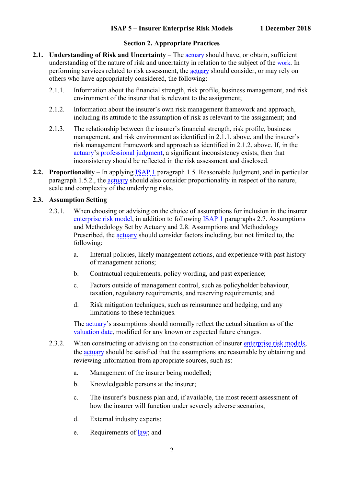#### **Section 2. Appropriate Practices**

- <span id="page-6-6"></span><span id="page-6-5"></span><span id="page-6-1"></span><span id="page-6-0"></span>**2.1. Understanding of Risk and Uncertainty** – The [actuary](https://www.actuaries.org/IAA/Documents/CTTEES_ASC/ISAPs_Glossary_Terms/Actuary.html) should have, or obtain, sufficient understanding of the nature of risk and uncertainty in relation to the subject of the [work](https://www.actuaries.org/IAA/Documents/CTTEES_ASC/ISAPs_Glossary_Terms/Work.html). In performing services related to risk assessment, the [actuary](https://www.actuaries.org/IAA/Documents/CTTEES_ASC/ISAPs_Glossary_Terms/Actuary.html) should consider, or may rely on others who have appropriately considered, the following:
	- 2.1.1. Information about the financial strength, risk profile, business management, and risk environment of the insurer that is relevant to the assignment;
	- 2.1.2. Information about the insurer's own risk management framework and approach, including its attitude to the assumption of risk as relevant to the assignment; and
	- 2.1.3. The relationship between the insurer's financial strength, risk profile, business management, and risk environment as identified in [2.1.1.](#page-6-5) above, and the insurer's risk management framework and approach as identified in [2.1.2.](#page-6-6) above. If, in the [actuary](https://www.actuaries.org/IAA/Documents/CTTEES_ASC/ISAPs_Glossary_Terms/Actuary.html)'s [professional judgment,](https://www.actuaries.org/IAA/Documents/CTTEES_ASC/ISAPs_Glossary_Terms/Professional_Judgment.html) a significant inconsistency exists, then that inconsistency should be reflected in the risk assessment and disclosed.
- <span id="page-6-7"></span><span id="page-6-2"></span>**2.2. Proportionality** – In applying **[ISAP 1](https://www.actuaries.org/IAA/Documents/CTTEES_ASC/Final_ISAPs_Posted/ISAP1_Review_adopted_1Dec2018.pdf)** paragraph 1.5. Reasonable Judgment, and in particular paragraph 1.5.2., the [actuary](https://www.actuaries.org/IAA/Documents/CTTEES_ASC/ISAPs_Glossary_Terms/Actuary.html) should also consider proportionality in respect of the nature, scale and complexity of the underlying risks.

#### <span id="page-6-4"></span><span id="page-6-3"></span>**2.3. Assumption Setting**

- 2.3.1. When choosing or advising on the choice of assumptions for inclusion in the insurer [enterprise risk model,](https://www.actuaries.org/IAA/Documents/CTTEES_ASC/ISAPs_Glossary_Terms/Enterprise_Risk_Model.html) in addition to following [ISAP 1](https://www.actuaries.org/IAA/Documents/CTTEES_ASC/Final_ISAPs_Posted/ISAP1_Review_adopted_1Dec2018.pdf) paragraphs 2.7. Assumptions and Methodology Set by Actuary and 2.8. Assumptions and Methodology Prescribed, the [actuary](https://www.actuaries.org/IAA/Documents/CTTEES_ASC/ISAPs_Glossary_Terms/Actuary.html) should consider factors including, but not limited to, the following:
	- a. Internal policies, likely management actions, and experience with past history of management actions;
	- b. Contractual requirements, policy wording, and past experience;
	- c. Factors outside of management control, such as policyholder behaviour, taxation, regulatory requirements, and reserving requirements; and
	- d. Risk mitigation techniques, such as reinsurance and hedging, and any limitations to these techniques.

The **actuary**'s assumptions should normally reflect the actual situation as of the [valuation date,](https://www.actuaries.org/IAA/Documents/CTTEES_ASC/ISAPs_Glossary_Terms/Valuation_Data.html) modified for any known or expected future changes.

- 2.3.2. When constructing or advising on the construction of insurer [enterprise risk models,](https://www.actuaries.org/IAA/Documents/CTTEES_ASC/ISAPs_Glossary_Terms/Enterprise_Risk_Model.html) the [actuary](https://www.actuaries.org/IAA/Documents/CTTEES_ASC/ISAPs_Glossary_Terms/Actuary.html) should be satisfied that the assumptions are reasonable by obtaining and reviewing information from appropriate sources, such as:
	- a. Management of the insurer being modelled;
	- b. Knowledgeable persons at the insurer;
	- c. The insurer's business plan and, if available, the most recent assessment of how the insurer will function under severely adverse scenarios;
	- d. External industry experts;
	- e. Requirements of [law;](https://www.actuaries.org/IAA/Documents/CTTEES_ASC/ISAPs_Glossary_Terms/Law.html) and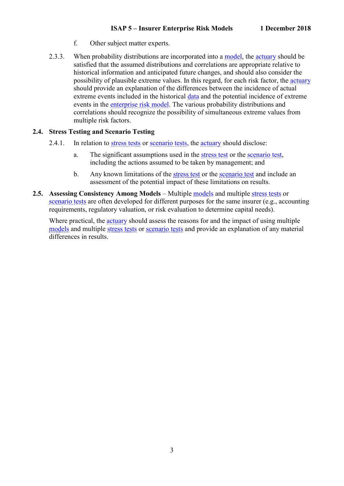- f. Other subject matter experts.
- <span id="page-7-2"></span>2.3.3. When probability distributions are incorporated into a [model,](https://www.actuaries.org/IAA/Documents/CTTEES_ASC/ISAPs_Glossary_Terms/Model.html) the [actuary](https://www.actuaries.org/IAA/Documents/CTTEES_ASC/ISAPs_Glossary_Terms/Actuary.html) should be satisfied that the assumed distributions and correlations are appropriate relative to historical information and anticipated future changes, and should also consider the possibility of plausible extreme values. In this regard, for each risk factor, the [actuary](https://www.actuaries.org/IAA/Documents/CTTEES_ASC/ISAPs_Glossary_Terms/Actuary.html) should provide an explanation of the differences between the incidence of actual extreme events included in the historical [data](https://www.actuaries.org/IAA/Documents/CTTEES_ASC/ISAPs_Glossary_Terms/Data.html) and the potential incidence of extreme events in the [enterprise risk model.](https://www.actuaries.org/IAA/Documents/CTTEES_ASC/ISAPs_Glossary_Terms/Enterprise_Risk_Model.html) The various probability distributions and correlations should recognize the possibility of simultaneous extreme values from multiple risk factors.

#### <span id="page-7-3"></span><span id="page-7-0"></span>**2.4. Stress Testing and Scenario Testing**

- 2.4.1. In relation to [stress tests](https://www.actuaries.org/IAA/Documents/CTTEES_ASC/ISAPs_Glossary_Terms/Stress_Test.html) or [scenario tests,](https://www.actuaries.org/IAA/Documents/CTTEES_ASC/ISAPs_Glossary_Terms/Scenario_Test.html) the [actuary](https://www.actuaries.org/IAA/Documents/CTTEES_ASC/ISAPs_Glossary_Terms/Actuary.html) should disclose:
	- a. The significant assumptions used in the [stress test](https://www.actuaries.org/IAA/Documents/CTTEES_ASC/ISAPs_Glossary_Terms/Stress_Test.html) or the [scenario test,](https://www.actuaries.org/IAA/Documents/CTTEES_ASC/ISAPs_Glossary_Terms/Scenario_Test.html) including the actions assumed to be taken by management; and
	- b. Any known limitations of the [stress test](https://www.actuaries.org/IAA/Documents/CTTEES_ASC/ISAPs_Glossary_Terms/Stress_Test.html) or the [scenario test](https://www.actuaries.org/IAA/Documents/CTTEES_ASC/ISAPs_Glossary_Terms/Scenario_Test.html) and include an assessment of the potential impact of these limitations on results.
- <span id="page-7-1"></span>**2.5. Assessing Consistency Among Models** – Multiple [models](https://www.actuaries.org/IAA/Documents/CTTEES_ASC/ISAPs_Glossary_Terms/Model.html) and multiple [stress tests](https://www.actuaries.org/IAA/Documents/CTTEES_ASC/ISAPs_Glossary_Terms/Stress_Test.html) or [scenario tests](https://www.actuaries.org/IAA/Documents/CTTEES_ASC/ISAPs_Glossary_Terms/Scenario_Test.html) are often developed for different purposes for the same insurer (e.g., accounting requirements, regulatory valuation, or risk evaluation to determine capital needs).

Where practical, the [actuary](https://www.actuaries.org/IAA/Documents/CTTEES_ASC/ISAPs_Glossary_Terms/Actuary.html) should assess the reasons for and the impact of using multiple [models](https://www.actuaries.org/IAA/Documents/CTTEES_ASC/ISAPs_Glossary_Terms/Model.html) and multiple [stress tests](https://www.actuaries.org/IAA/Documents/CTTEES_ASC/ISAPs_Glossary_Terms/Stress_Test.html) or [scenario tests](https://www.actuaries.org/IAA/Documents/CTTEES_ASC/ISAPs_Glossary_Terms/Scenario_Test.html) and provide an explanation of any material differences in results.